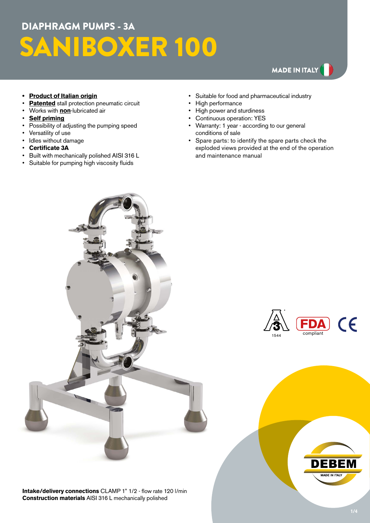# DIAPHRAGM PUMPS - 3A SANIBOXER 100

## MADE IN ITALY

#### **• Product of Italian origin**

- **Patented** stall protection pneumatic circuit
- Works with **non**-lubricated air
- **Self priming**
- Possibility of adjusting the pumping speed
- Versatility of use
- Idles without damage
- **Certificate 3A**
- Built with mechanically polished AISI 316 L
- Suitable for pumping high viscosity fluids
- Suitable for food and pharmaceutical industry
- High performance
- High power and sturdiness
- Continuous operation: YES
- Warranty: 1 year according to our general conditions of sale
- Spare parts: to identify the spare parts check the exploded views provided at the end of the operation and maintenance manual



**Intake/delivery connections** CLAMP 1" 1/2 - flow rate 120 l/min **Construction materials** AISI 316 L mechanically polished



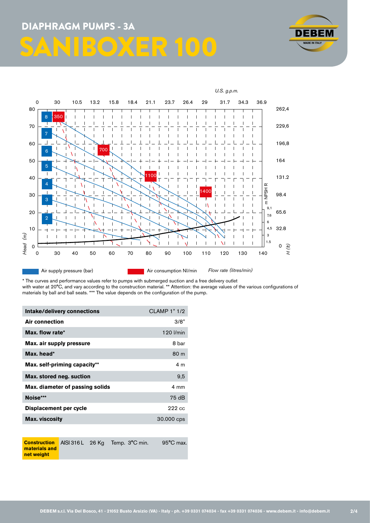



\* The curves and performance values refer to pumps with submerged suction and a free delivery outlet with water at 20°C, and vary according to the construction material. \*\* Attention: the average values of the various configurations of materials by ball and ball seats. \*\*\* The value depends on the configuration of the pump.

| Intake/delivery connections     | <b>CLAMP 1" 1/2</b> |
|---------------------------------|---------------------|
| <b>Air connection</b>           | 3/8"                |
| Max. flow rate*                 | 120 l/min           |
| Max. air supply pressure        | 8 bar               |
| Max. head*                      | 80 m                |
| Max. self-priming capacity**    | 4 m                 |
| Max. stored neg. suction        | 9,5                 |
| Max. diameter of passing solids | $4 \text{ mm}$      |
| Noise***                        | 75 dB               |
| Displacement per cycle          | 222 cc              |
| <b>Max.</b> viscosity           | 30.000 cps          |

**Construction materials and net weight** AISI 316 L 26 Kg Temp. 3°C min. 95°C max.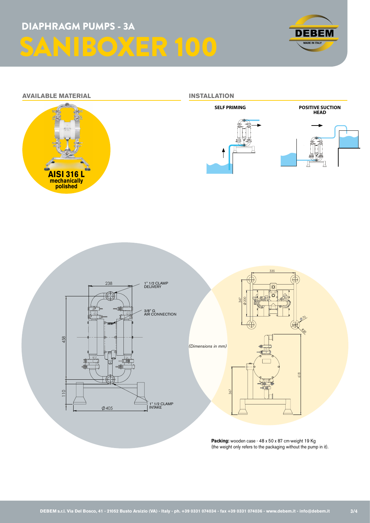





**Packing:** wooden case - 48 x 50 x 87 cm-weight 19 Kg (the weight only refers to the packaging without the pump in it).

-info@debem.it-

<sup>R</sup>20